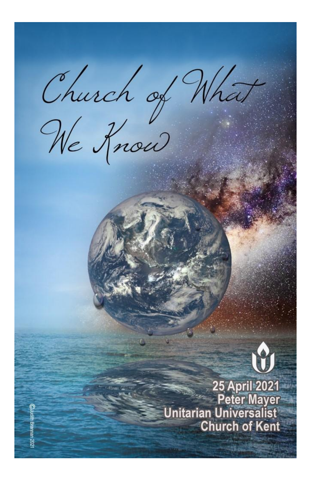Church of What<br>We Rnow



25 April 2021<br>Peter Mayer **Unitarian Universalist Church of Kent**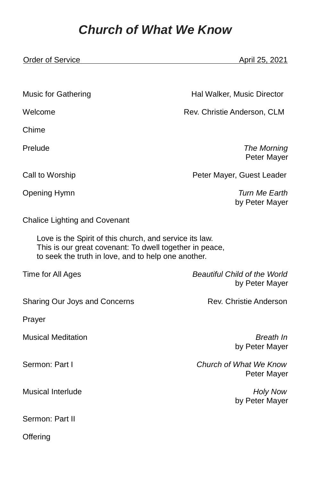## *Church of What We Know*

| <b>Order of Service</b>                                                                                                                                                   | April 25, 2021                                        |
|---------------------------------------------------------------------------------------------------------------------------------------------------------------------------|-------------------------------------------------------|
|                                                                                                                                                                           |                                                       |
| <b>Music for Gathering</b>                                                                                                                                                | Hal Walker, Music Director                            |
| Welcome                                                                                                                                                                   | Rev. Christie Anderson, CLM                           |
| Chime                                                                                                                                                                     |                                                       |
| Prelude                                                                                                                                                                   | The Morning<br>Peter Mayer                            |
| Call to Worship                                                                                                                                                           | Peter Mayer, Guest Leader                             |
| Opening Hymn                                                                                                                                                              | Turn Me Earth<br>by Peter Mayer                       |
| <b>Chalice Lighting and Covenant</b>                                                                                                                                      |                                                       |
| Love is the Spirit of this church, and service its law.<br>This is our great covenant: To dwell together in peace,<br>to seek the truth in love, and to help one another. |                                                       |
| Time for All Ages                                                                                                                                                         | <b>Beautiful Child of the World</b><br>by Peter Mayer |
| Sharing Our Joys and Concerns                                                                                                                                             | Rev. Christie Anderson                                |
| Prayer                                                                                                                                                                    |                                                       |
| <b>Musical Meditation</b>                                                                                                                                                 | Breath In<br>by Peter Mayer                           |
| Sermon: Part I                                                                                                                                                            | Church of What We Know<br>Peter Mayer                 |
| <b>Musical Interlude</b>                                                                                                                                                  | <b>Holy Now</b><br>by Peter Mayer                     |
| Sermon: Part II                                                                                                                                                           |                                                       |
| Offering                                                                                                                                                                  |                                                       |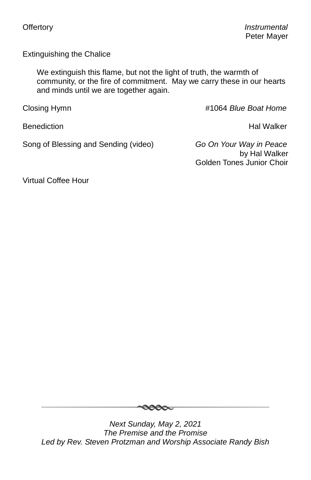Extinguishing the Chalice

We extinguish this flame, but not the light of truth, the warmth of community, or the fire of commitment. May we carry these in our hearts and minds until we are together again.

Closing Hymn **All Accords** 2008 **and 2018** the 41064 *Blue Boat Home* 

Benediction **Hal Walker** 

Song of Blessing and Sending (video) *Go On Your Way in Peace*

by Hal Walker Golden Tones Junior Choir

Virtual Coffee Hour



*Next Sunday, May 2, 2021 The Premise and the Promise Led by Rev. Steven Protzman and Worship Associate Randy Bish*